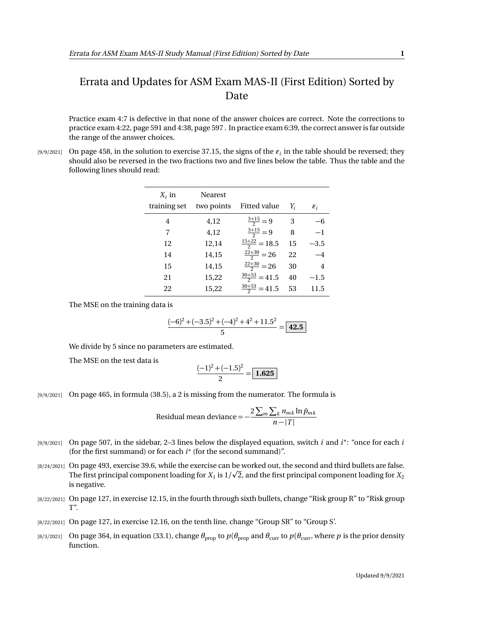## Errata and Updates for ASM Exam MAS-II (First Edition) Sorted by Date

Practice exam 4:7 is defective in that none of the answer choices are correct. Note the corrections to practice exam 4:22, page 591 and 4:38, page 597 . In practice exam 6:39, the correct answer is far outside the range of the answer choices.

 $_{[9/9/2021]}$  On page 458, in the solution to exercise 37.15, the signs of the  $\varepsilon_i$  in the table should be reversed; they should also be reversed in the two fractions two and five lines below the table. Thus the table and the following lines should read:

| $X_i$ in     | <b>Nearest</b> |                          |    |                 |
|--------------|----------------|--------------------------|----|-----------------|
| training set | two points     | Fitted value             | Yi | $\varepsilon_i$ |
| 4            | 4,12           | $\frac{3+15}{2} = 9$     | 3  |                 |
| 7            | 4,12           | $\frac{3+15}{2} = 9$     | 8  | $-1$            |
| 12           | 12,14          | $\frac{15+22}{2} = 18.5$ | 15 | $-3.5$          |
| 14           | 14,15          | $\frac{22+30}{2} = 26$   | 22 | $-4$            |
| 15           | 14,15          | $\frac{22+30}{2} = 26$   | 30 | $\overline{4}$  |
| 21           | 15,22          | $\frac{30+53}{2}$ = 41.5 | 40 | $-1.5$          |
| 22           | 15,22          | $\frac{30+53}{2}$ = 41.5 | 53 | 11.5            |

The MSE on the training data is

$$
\frac{(-6)^2 + (-3.5)^2 + (-4)^2 + 4^2 + 11.5^2}{5} = \boxed{42.5}
$$

We divide by 5 since no parameters are estimated.

The MSE on the test data is

$$
\frac{(-1)^2 + (-1.5)^2}{2} = 1.625
$$

[9/9/2021] On page 465, in formula (38.5), a 2 is missing from the numerator. The formula is

Residual mean deviance = 
$$
-\frac{2\sum_{m}\sum_{k}n_{mk}\ln\hat{p}_{mk}}{n-|T|}
$$

- [9/9/2021] On page 507, in the sidebar, 2–3 lines below the displayed equation, switch *i* and *i* ∗ : "once for each *i* (for the first summand) or for each *i* ∗ (for the second summand)".
- [8/24/2021] On page 493, exercise 39.6, while the exercise can be worked out, the second and third bullets are false. p The first principal component loading for  $X_1$  is  $1/\surd 2$ , and the first principal component loading for  $X_2$ is negative.
- [8/22/2021] On page 127, in exercise 12.15, in the fourth through sixth bullets, change "Risk group R" to "Risk group T".
- [8/22/2021] On page 127, in exercise 12.16, on the tenth line, change "Group SR" to "Group S'.
- [8/3/2021] On page 364, in equation (33.1), change  $\theta_{\text{prop}}$  to  $p(\theta_{\text{prop}})$  and  $\theta_{\text{curr}}$  to  $p(\theta_{\text{curr}})$ , where  $p$  is the prior density function.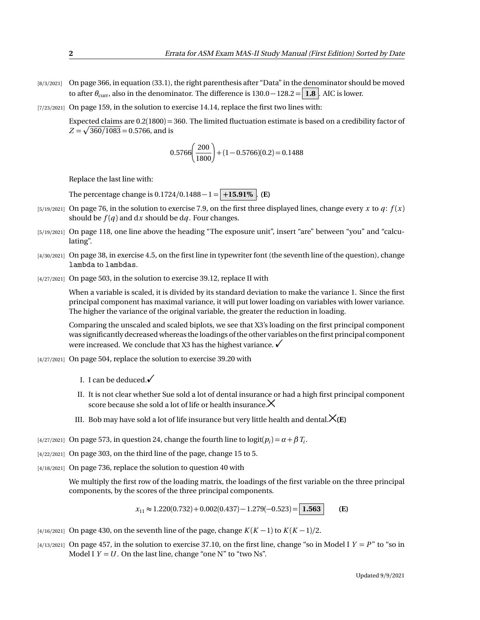- [8/3/2021] On page 366, in equation (33.1), the right parenthesis after "Data" in the denominator should be moved to after  $\theta_{\text{curr}}$ , also in the denominator. The difference is 130.0 – 128.2 = **1.8** . AIC is lower.
- [7/23/2021] On page 159, in the solution to exercise 14.14, replace the first two lines with:

Expected claims are 0.2(1800) = 360. The limited fluctuation estimate is based on a credibility factor of  $Z = \sqrt{360/1083} = 0.5766$ , and is

$$
0.5766 \left(\frac{200}{1800}\right) + (1 - 0.5766)(0.2) = 0.1488
$$

Replace the last line with:

The percentage change is  $0.1724/0.1488 - 1 = +15.91\%$ . **(E)** 

- [5/19/2021] On page 76, in the solution to exercise 7.9, on the first three displayed lines, change every *x* to *q*:  $f(x)$ should be  $f(q)$  and dx should be dq. Four changes.
- [5/19/2021] On page 118, one line above the heading "The exposure unit", insert "are" between "you" and "calculating".
- [4/30/2021] On page 38, in exercise 4.5, on the first line in typewriter font (the seventh line of the question), change lambda to lambdas.
- [4/27/2021] On page 503, in the solution to exercise 39.12, replace II with

When a variable is scaled, it is divided by its standard deviation to make the variance 1. Since the first principal component has maximal variance, it will put lower loading on variables with lower variance. The higher the variance of the original variable, the greater the reduction in loading.

Comparing the unscaled and scaled biplots, we see that X3's loading on the first principal component was significantly decreased whereas the loadings of the other variables on the first principal component were increased. We conclude that X3 has the highest variance.  $\checkmark$ 

[4/27/2021] On page 504, replace the solution to exercise 39.20 with

- I. I can be deduced. $\checkmark$
- II. It is not clear whether Sue sold a lot of dental insurance or had a high first principal component score because she sold a lot of life or health insurance. $\times$
- III. Bob may have sold a lot of life insurance but very little health and dental. $\mathsf{X}(E)$
- [4/27/2021] On page 573, in question 24, change the fourth line to  $logit(p_i) = α + β T_i$ .
- $[4/22/2021]$  On page 303, on the third line of the page, change 15 to 5.
- [4/18/2021] On page 736, replace the solution to question 40 with

We multiply the first row of the loading matrix, the loadings of the first variable on the three principal components, by the scores of the three principal components.

$$
x_{11} \approx 1.220(0.732) + 0.002(0.437) - 1.279(-0.523) = |1.563|
$$
 (E)

- $\frac{1}{4}$ /16/2021] On page 430, on the seventh line of the page, change  $K(K-1)$  to  $K(K-1)/2$ .
- $[4/13/2021]$  On page 457, in the solution to exercise 37.10, on the first line, change "so in Model I  $Y = P$ " to "so in Model I  $Y = U$ . On the last line, change "one N" to "two Ns".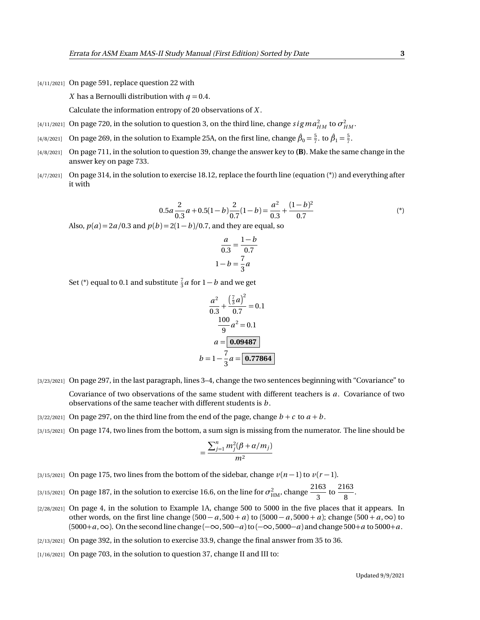[4/11/2021] On page 591, replace question 22 with

*X* has a Bernoulli distribution with  $q = 0.4$ .

Calculate the information entropy of 20 observations of *X* .

- [4/11/2021] On page 720, in the solution to question 3, on the third line, change  $sigma_{HM}^2$  to  $\sigma_{HM}^2$ .
- $[4/8/2021]$  On page 269, in the solution to Example 25A, on the first line, change  $\hat{\beta}_0 = \frac{5}{7}$ . to  $\hat{\beta}_1 = \frac{5}{7}$ .
- [4/8/2021] On page 711, in the solution to question 39, change the answer key to **(B)**. Make the same change in the answer key on page 733.
- [4/7/2021] On page 314, in the solution to exercise 18.12, replace the fourth line (equation (\*)) and everything after it with

$$
0.5a\frac{2}{0.3}a + 0.5(1 - b)\frac{2}{0.7}(1 - b) = \frac{a^2}{0.3} + \frac{(1 - b)^2}{0.7}
$$
 (\*)

Also,  $p(a) = 2a/0.3$  and  $p(b) = 2(1 - b)/0.7$ , and they are equal, so

$$
\frac{a}{0.3} = \frac{1 - b}{0.7}
$$

$$
1 - b = \frac{7}{3}a
$$

Set (\*) equal to 0.1 and substitute  $\frac{7}{3}a$  for  $1 - b$  and we get

$$
\frac{a^2}{0.3} + \frac{\left(\frac{7}{3}a\right)^2}{0.7} = 0.1
$$

$$
\frac{100}{9}a^2 = 0.1
$$

$$
a = \boxed{0.09487}
$$

$$
b = 1 - \frac{7}{3}a = \boxed{0.77864}
$$

[3/23/2021] On page 297, in the last paragraph, lines 3–4, change the two sentences beginning with "Covariance" to

Covariance of two observations of the same student with different teachers is *a*. Covariance of two observations of the same teacher with different students is *b* .

- [3/22/2021] On page 297, on the third line from the end of the page, change  $b + c$  to  $a + b$ .
- [3/15/2021] On page 174, two lines from the bottom, a sum sign is missing from the numerator. The line should be

$$
=\frac{\sum_{j=1}^n m_j^2(\beta+\alpha/m_j)}{m^2}
$$

- [3/15/2021] On page 175, two lines from the bottom of the sidebar, change *v*(*n* − 1) to *v*(*r* − 1).
- [3/15/2021] On page 187, in the solution to exercise 16.6, on the line for  $\sigma^2_\text{HM}$ , change  $\frac{2163}{3}$  $\frac{163}{3}$  to  $\frac{2163}{8}$  $\frac{1}{8}$ .
- [2/28/2021] On page 4, in the solution to Example 1A, change 500 to 5000 in the five places that it appears. In other words, on the first line change  $(500 - a, 500 + a)$  to  $(5000 - a, 5000 + a)$ ; change  $(500 + a, \infty)$  to (5000+*a*,∞). On the second line change (−∞, 500−*a*)to (−∞, 5000−*a*) and change 500+*a* to 5000+*a*.
- [2/13/2021] On page 392, in the solution to exercise 33.9, change the final answer from 35 to 36.
- [1/16/2021] On page 703, in the solution to question 37, change II and III to: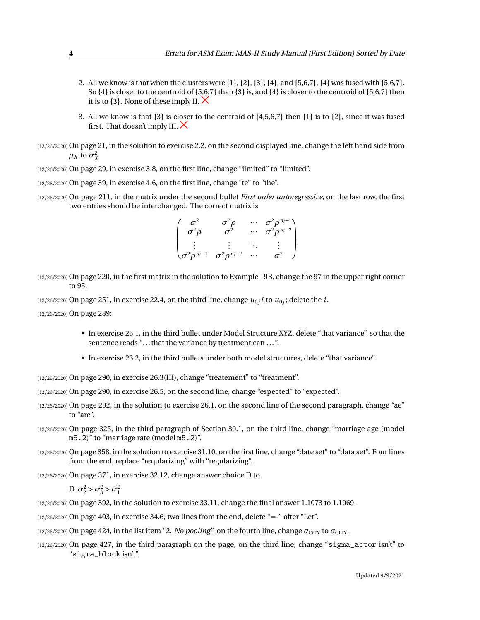- 2. All we know is that when the clusters were  $\{1\}$ ,  $\{2\}$ ,  $\{3\}$ ,  $\{4\}$ , and  $\{5,6,7\}$ ,  $\{4\}$  was fused with  $\{5,6,7\}$ . So {4} is closer to the centroid of {5,6,7} than {3} is, and {4} is closer to the centroid of {5,6,7} then it is to  $\{3\}$ . None of these imply II.  $\times$
- 3. All we know is that {3} is closer to the centroid of {4,5,6,7} then {1} is to {2}, since it was fused first. That doesn't imply III.  $\times$
- [12/26/2020] On page 21, in the solution to exercise 2.2, on the second displayed line, change the left hand side from  $\mu_X$  to  $\sigma_X^2$
- [12/26/2020] On page 29, in exercise 3.8, on the first line, change "iimited" to "limited".
- [12/26/2020] On page 39, in exercise 4.6, on the first line, change "te" to "the".
- [12/26/2020] On page 211, in the matrix under the second bullet *First order autoregressive*, on the last row, the first two entries should be interchanged. The correct matrix is

$$
\begin{pmatrix}\n\sigma^2 & \sigma^2 \rho & \cdots & \sigma^2 \rho^{n_i-1} \\
\sigma^2 \rho & \sigma^2 & \cdots & \sigma^2 \rho^{n_i-2} \\
\vdots & \vdots & \ddots & \vdots \\
\sigma^2 \rho^{n_i-1} & \sigma^2 \rho^{n_i-2} & \cdots & \sigma^2\n\end{pmatrix}
$$

[12/26/2020] On page 220, in the first matrix in the solution to Example 19B, change the 97 in the upper right corner to 95.

 $\mu_{0,i}$  (12/26/2020) On page 251, in exercise 22.4, on the third line, change  $u_{0j}$  i to  $u_{0j}$ ; delete the  $i.$ 

[12/26/2020] On page 289:

- In exercise 26.1, in the third bullet under Model Structure XYZ, delete "that variance", so that the sentence reads "... that the variance by treatment can ...".
- In exercise 26.2, in the third bullets under both model structures, delete "that variance".

[12/26/2020] On page 290, in exercise 26.3(III), change "treatement" to "treatment".

[12/26/2020] On page 290, in exercise 26.5, on the second line, change "espected" to "expected".

- [12/26/2020] On page 292, in the solution to exercise 26.1, on the second line of the second paragraph, change "ae" to "are".
- [12/26/2020] On page 325, in the third paragraph of Section 30.1, on the third line, change "marriage age (model m5.2)" to "marriage rate (model m5.2)".
- [12/26/2020] On page 358, in the solution to exercise 31.10, on the first line, change "date set" to "data set". Four lines from the end, replace "reqularizing" with "regularizing".

[12/26/2020] On page 371, in exercise 32.12, change answer choice D to

D.  $\sigma_2^2 > \sigma_3^2 > \sigma_1^2$ 

[12/26/2020] On page 392, in the solution to exercise 33.11, change the final answer 1.1073 to 1.1069.

- [12/26/2020] On page 403, in exercise 34.6, two lines from the end, delete "=-" after "Let".
- [12/26/2020] On page 424, in the list item "2. *No pooling*", on the fourth line, change  $\alpha_{\text{CITY}}$  to  $\alpha_{\text{CTY}}$ .
- [12/26/2020] On page 427, in the third paragraph on the page, on the third line, change "sigma\_actor isn't" to "sigma\_block isn't".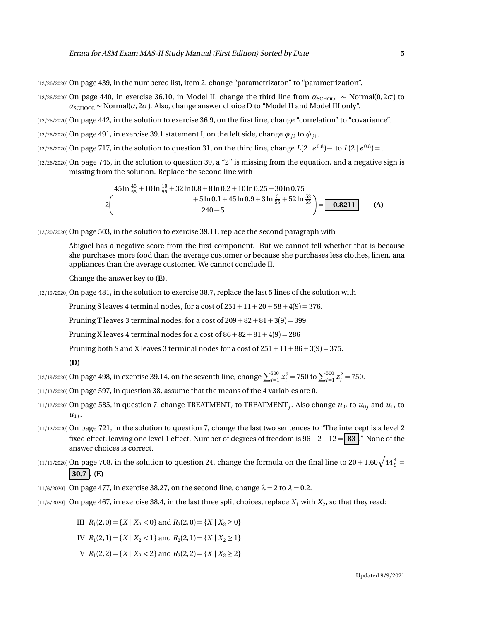[12/26/2020] On page 439, in the numbered list, item 2, change "parametrizaton" to "parametrization".

[12/26/2020] On page 440, in exercise 36.10, in Model II, change the third line from  $a_{\text{SCHOOL}} \sim \text{Normal}(0, 2\sigma)$  to  $a_{\text{SCHOOL}} \sim \text{Normal}(\alpha, 2\sigma)$ . Also, change answer choice D to "Model II and Model III only".

[12/26/2020] On page 442, in the solution to exercise 36.9, on the first line, change "correlation" to "covariance".

 $_{[12/26/2020]}$  On page 491, in exercise 39.1 statement I, on the left side, change  $\phi$   $_{ji}$  to  $\phi$   $_{j1}.$ 

 $(12/26/2020]$  On page 717, in the solution to question 31, on the third line, change  $L(2 | e^{0.8}) -$  to  $L(2 | e^{0.8}) =$ .

[12/26/2020] On page 745, in the solution to question 39, a "2" is missing from the equation, and a negative sign is missing from the solution. Replace the second line with

$$
45\ln\frac{45}{55} + 10\ln\frac{10}{55} + 32\ln 0.8 + 8\ln 0.2 + 10\ln 0.25 + 30\ln 0.75
$$
  

$$
-2\left(\frac{+5\ln 0.1 + 45\ln 0.9 + 3\ln\frac{3}{55} + 52\ln\frac{52}{55}}{240 - 5}\right) = \boxed{-0.8211}
$$
 (A)

[12/20/2020] On page 503, in the solution to exercise 39.11, replace the second paragraph with

Abigael has a negative score from the first component. But we cannot tell whether that is because she purchases more food than the average customer or because she purchases less clothes, linen, ana appliances than the average customer. We cannot conclude II.

Change the answer key to **(E)**.

[12/19/2020] On page 481, in the solution to exercise 38.7, replace the last 5 lines of the solution with

Pruning S leaves 4 terminal nodes, for a cost of  $251 + 11 + 20 + 58 + 4(9) = 376$ .

Pruning T leaves 3 terminal nodes, for a cost of  $209 + 82 + 81 + 3(9) = 399$ 

Pruning X leaves 4 terminal nodes for a cost of  $86 + 82 + 81 + 4(9) = 286$ 

Pruning both S and X leaves 3 terminal nodes for a cost of  $251 + 11 + 86 + 3(9) = 375$ .

**(D)**

 $\frac{[12/19/2020]}{12}$  On page 498, in exercise 39.14, on the seventh line, change  $\sum_{i=1}^{500} x_i^2 = 750$  to  $\sum_{i=1}^{500} z_i^2 = 750$ .

[11/13/2020] On page 597, in question 38, assume that the means of the 4 variables are 0.

- $_{[11/12/2020]}$  On page 585, in question 7, change TREATMENT $_{i}$  to TREATMENT $_{j}.$  Also change  $u_{0i}$  to  $u_{0j}$  and  $u_{1i}$  to  $u_{1j}$ .
- [11/12/2020] On page 721, in the solution to question 7, change the last two sentences to "The intercept is a level 2 fixed effect, leaving one level 1 effect. Number of degrees of freedom is 96− 2− 12 = **83** ." None of the answer choices is correct.

[11/11/2020] On page 708, in the solution to question 24, change the formula on the final line to 20 + 1.60 $\sqrt{44\frac{4}{9}}=$  $|30.7|$ . **(E)** 

[11/6/2020] On page 477, in exercise 38.27, on the second line, change  $\lambda = 2$  to  $\lambda = 0.2$ .

 $_{[11/5/2020]}$  On page 467, in exercise 38.4, in the last three split choices, replace  $X_1$  with  $X_2$ , so that they read:

III  $R_1(2,0) = \{X \mid X_2 < 0\}$  and  $R_2(2,0) = \{X \mid X_2 \ge 0\}$ 

IV  $R_1(2, 1) = \{X \mid X_2 < 1\}$  and  $R_2(2, 1) = \{X \mid X_2 \ge 1\}$ 

 $V$   $R_1(2,2) = \{X \mid X_2 < 2\}$  and  $R_2(2,2) = \{X \mid X_2 \ge 2\}$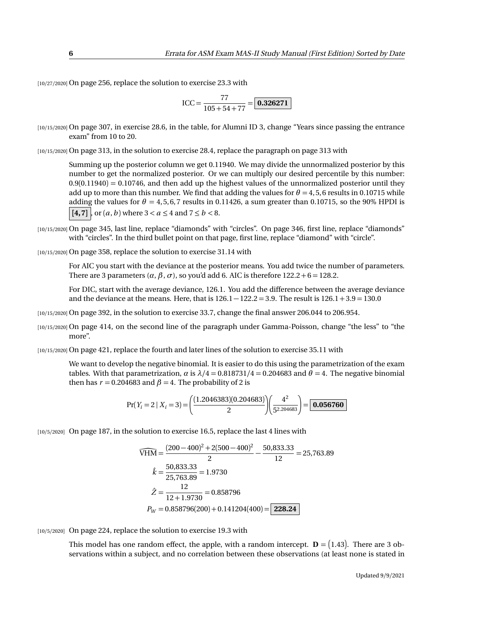[10/27/2020] On page 256, replace the solution to exercise 23.3 with

$$
ICC = \frac{77}{105 + 54 + 77} = \boxed{\textbf{0.326271}}
$$

[10/15/2020] On page 307, in exercise 28.6, in the table, for Alumni ID 3, change "Years since passing the entrance exam" from 10 to 20.

[10/15/2020] On page 313, in the solution to exercise 28.4, replace the paragraph on page 313 with

Summing up the posterior column we get 0.11940. We may divide the unnormalized posterior by this number to get the normalized posterior. Or we can multiply our desired percentile by this number:  $0.9(0.11940) = 0.10746$ , and then add up the highest values of the unnormalized posterior until they add up to more than this number. We find that adding the values for  $\theta = 4, 5, 6$  results in 0.10715 while adding the values for  $\theta = 4, 5, 6, 7$  results in 0.11426, a sum greater than 0.10715, so the 90% HPDI is  $\vert$  [4,7]  $\vert$ , or  $(a, b)$  where  $3 < a \leq 4$  and  $7 \leq b < 8$ .

[10/15/2020] On page 345, last line, replace "diamonds" with "circles". On page 346, first line, replace "diamonds" with "circles". In the third bullet point on that page, first line, replace "diamond" with "circle".

[10/15/2020] On page 358, replace the solution to exercise 31.14 with

For AIC you start with the deviance at the posterior means. You add twice the number of parameters. There are 3 parameters  $(\alpha, \beta, \sigma)$ , so you'd add 6. AIC is therefore 122.2 + 6 = 128.2.

For DIC, start with the average deviance, 126.1. You add the difference between the average deviance and the deviance at the means. Here, that is  $126.1 - 122.2 = 3.9$ . The result is  $126.1 + 3.9 = 130.0$ 

[10/15/2020] On page 392, in the solution to exercise 33.7, change the final answer 206.044 to 206.954.

[10/15/2020] On page 414, on the second line of the paragraph under Gamma-Poisson, change "the less" to "the more".

[10/15/2020] On page 421, replace the fourth and later lines of the solution to exercise 35.11 with

We want to develop the negative binomial. It is easier to do this using the parametrization of the exam tables. With that parametrization, *α* is  $\lambda/4 = 0.818731/4 = 0.204683$  and  $\theta = 4$ . The negative binomial then has  $r = 0.204683$  and  $\beta = 4$ . The probability of 2 is

$$
Pr(Y_i = 2 \mid X_i = 3) = \left(\frac{(1.2046383)(0.204683)}{2}\right)\left(\frac{4^2}{5^{2.204683}}\right) = \boxed{0.056760}
$$

[10/5/2020] On page 187, in the solution to exercise 16.5, replace the last 4 lines with

$$
\widehat{VHM} = \frac{(200 - 400)^2 + 2(500 - 400)^2}{2} - \frac{50,833.33}{12} = 25,763.89
$$
  

$$
\hat{k} = \frac{50,833.33}{25,763.89} = 1.9730
$$
  

$$
\hat{Z} = \frac{12}{12 + 1.9730} = 0.858796
$$
  

$$
P_W = 0.858796(200) + 0.141204(400) = \boxed{228.24}
$$

[10/5/2020] On page 224, replace the solution to exercise 19.3 with

This model has one random effect, the apple, with a random intercept.  $\mathbf{D} = (1.43)$ . There are 3 observations within a subject, and no correlation between these observations (at least none is stated in